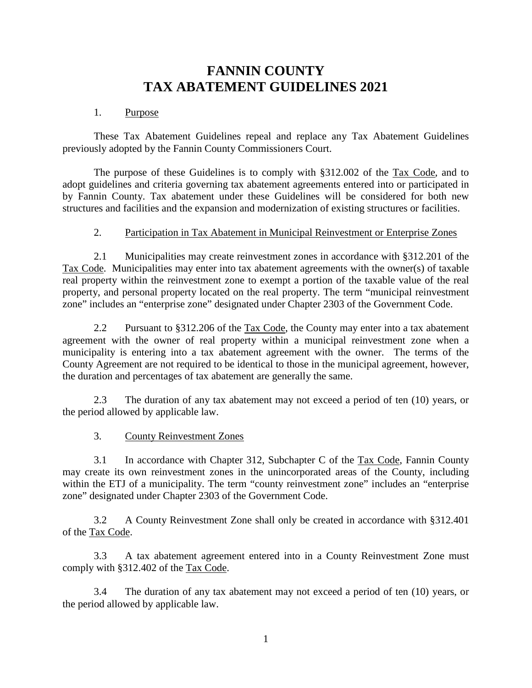# **FANNIN COUNTY TAX ABATEMENT GUIDELINES 2021**

#### 1. Purpose

These Tax Abatement Guidelines repeal and replace any Tax Abatement Guidelines previously adopted by the Fannin County Commissioners Court.

The purpose of these Guidelines is to comply with §312.002 of the Tax Code, and to adopt guidelines and criteria governing tax abatement agreements entered into or participated in by Fannin County. Tax abatement under these Guidelines will be considered for both new structures and facilities and the expansion and modernization of existing structures or facilities.

### 2. Participation in Tax Abatement in Municipal Reinvestment or Enterprise Zones

 2.1 Municipalities may create reinvestment zones in accordance with §312.201 of the Tax Code. Municipalities may enter into tax abatement agreements with the owner(s) of taxable real property within the reinvestment zone to exempt a portion of the taxable value of the real property, and personal property located on the real property. The term "municipal reinvestment zone" includes an "enterprise zone" designated under Chapter 2303 of the Government Code.

2.2 Pursuant to §312.206 of the Tax Code, the County may enter into a tax abatement agreement with the owner of real property within a municipal reinvestment zone when a municipality is entering into a tax abatement agreement with the owner. The terms of the County Agreement are not required to be identical to those in the municipal agreement, however, the duration and percentages of tax abatement are generally the same.

2.3 The duration of any tax abatement may not exceed a period of ten (10) years, or the period allowed by applicable law.

### 3. County Reinvestment Zones

 3.1 In accordance with Chapter 312, Subchapter C of the Tax Code, Fannin County may create its own reinvestment zones in the unincorporated areas of the County, including within the ETJ of a municipality. The term "county reinvestment zone" includes an "enterprise" zone" designated under Chapter 2303 of the Government Code.

 3.2 A County Reinvestment Zone shall only be created in accordance with §312.401 of the Tax Code.

 3.3 A tax abatement agreement entered into in a County Reinvestment Zone must comply with §312.402 of the Tax Code.

3.4 The duration of any tax abatement may not exceed a period of ten (10) years, or the period allowed by applicable law.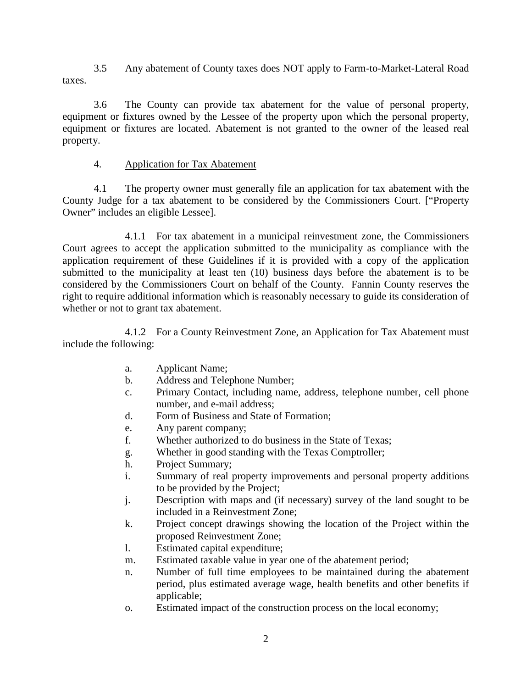3.5 Any abatement of County taxes does NOT apply to Farm-to-Market-Lateral Road taxes.

 3.6 The County can provide tax abatement for the value of personal property, equipment or fixtures owned by the Lessee of the property upon which the personal property, equipment or fixtures are located. Abatement is not granted to the owner of the leased real property.

## 4. Application for Tax Abatement

4.1 The property owner must generally file an application for tax abatement with the County Judge for a tax abatement to be considered by the Commissioners Court. ["Property Owner" includes an eligible Lessee].

 4.1.1 For tax abatement in a municipal reinvestment zone, the Commissioners Court agrees to accept the application submitted to the municipality as compliance with the application requirement of these Guidelines if it is provided with a copy of the application submitted to the municipality at least ten (10) business days before the abatement is to be considered by the Commissioners Court on behalf of the County. Fannin County reserves the right to require additional information which is reasonably necessary to guide its consideration of whether or not to grant tax abatement.

 4.1.2 For a County Reinvestment Zone, an Application for Tax Abatement must include the following:

- a. Applicant Name;
- b. Address and Telephone Number;
- c. Primary Contact, including name, address, telephone number, cell phone number, and e-mail address;
- d. Form of Business and State of Formation;
- e. Any parent company;
- f. Whether authorized to do business in the State of Texas;
- g. Whether in good standing with the Texas Comptroller;
- h. Project Summary;
- i. Summary of real property improvements and personal property additions to be provided by the Project;
- j. Description with maps and (if necessary) survey of the land sought to be included in a Reinvestment Zone;
- k. Project concept drawings showing the location of the Project within the proposed Reinvestment Zone;
- l. Estimated capital expenditure;
- m. Estimated taxable value in year one of the abatement period;
- n. Number of full time employees to be maintained during the abatement period, plus estimated average wage, health benefits and other benefits if applicable;
- o. Estimated impact of the construction process on the local economy;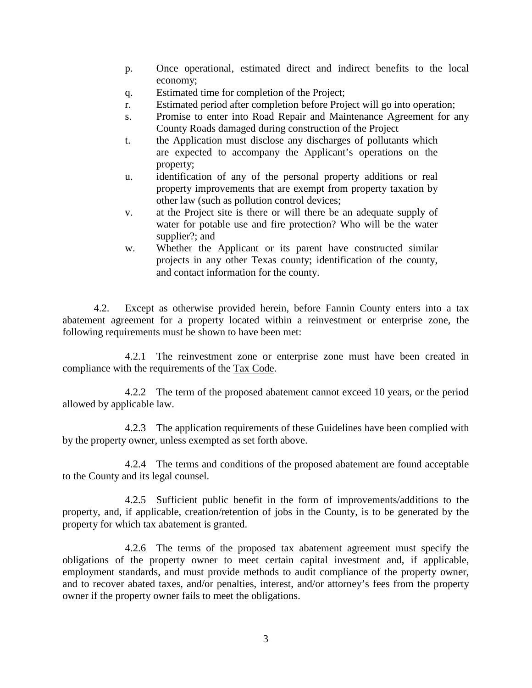- p. Once operational, estimated direct and indirect benefits to the local economy;
- q. Estimated time for completion of the Project;
- r. Estimated period after completion before Project will go into operation;
- s. Promise to enter into Road Repair and Maintenance Agreement for any County Roads damaged during construction of the Project
- t. the Application must disclose any discharges of pollutants which are expected to accompany the Applicant's operations on the property;
- u. identification of any of the personal property additions or real property improvements that are exempt from property taxation by other law (such as pollution control devices;
- v. at the Project site is there or will there be an adequate supply of water for potable use and fire protection? Who will be the water supplier?; and
- w. Whether the Applicant or its parent have constructed similar projects in any other Texas county; identification of the county, and contact information for the county.

4.2. Except as otherwise provided herein, before Fannin County enters into a tax abatement agreement for a property located within a reinvestment or enterprise zone, the following requirements must be shown to have been met:

 4.2.1 The reinvestment zone or enterprise zone must have been created in compliance with the requirements of the Tax Code.

 4.2.2 The term of the proposed abatement cannot exceed 10 years, or the period allowed by applicable law.

 4.2.3 The application requirements of these Guidelines have been complied with by the property owner, unless exempted as set forth above.

 4.2.4 The terms and conditions of the proposed abatement are found acceptable to the County and its legal counsel.

 4.2.5 Sufficient public benefit in the form of improvements/additions to the property, and, if applicable, creation/retention of jobs in the County, is to be generated by the property for which tax abatement is granted.

 4.2.6 The terms of the proposed tax abatement agreement must specify the obligations of the property owner to meet certain capital investment and, if applicable, employment standards, and must provide methods to audit compliance of the property owner, and to recover abated taxes, and/or penalties, interest, and/or attorney's fees from the property owner if the property owner fails to meet the obligations.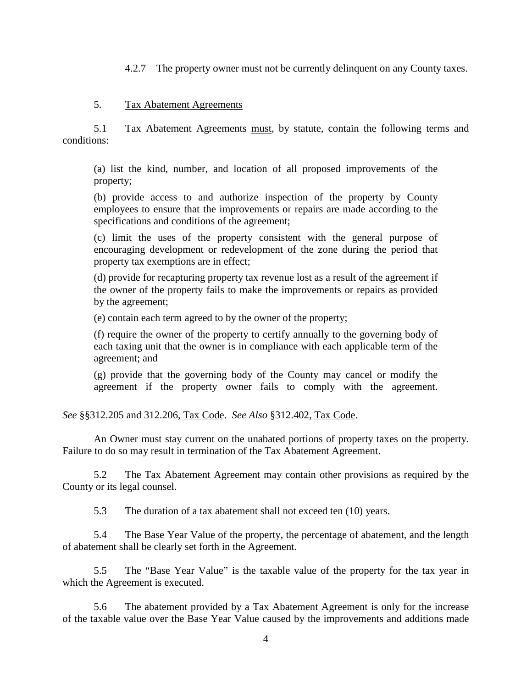4.2.7 The property owner must not be currently delinquent on any County taxes.

#### 5. Tax Abatement Agreements

 5.1 Tax Abatement Agreements must, by statute, contain the following terms and conditions:

(a) list the kind, number, and location of all proposed improvements of the property;

(b) provide access to and authorize inspection of the property by County employees to ensure that the improvements or repairs are made according to the specifications and conditions of the agreement;

(c) limit the uses of the property consistent with the general purpose of encouraging development or redevelopment of the zone during the period that property tax exemptions are in effect;

(d) provide for recapturing property tax revenue lost as a result of the agreement if the owner of the property fails to make the improvements or repairs as provided by the agreement;

(e) contain each term agreed to by the owner of the property;

(f) require the owner of the property to certify annually to the governing body of each taxing unit that the owner is in compliance with each applicable term of the agreement; and

(g) provide that the governing body of the County may cancel or modify the agreement if the property owner fails to comply with the agreement.

*See* §§312.205 and 312.206, Tax Code. *See Also* §312.402, Tax Code.

An Owner must stay current on the unabated portions of property taxes on the property. Failure to do so may result in termination of the Tax Abatement Agreement.

 5.2 The Tax Abatement Agreement may contain other provisions as required by the County or its legal counsel.

5.3 The duration of a tax abatement shall not exceed ten (10) years.

 5.4 The Base Year Value of the property, the percentage of abatement, and the length of abatement shall be clearly set forth in the Agreement.

 5.5 The "Base Year Value" is the taxable value of the property for the tax year in which the Agreement is executed.

 5.6 The abatement provided by a Tax Abatement Agreement is only for the increase of the taxable value over the Base Year Value caused by the improvements and additions made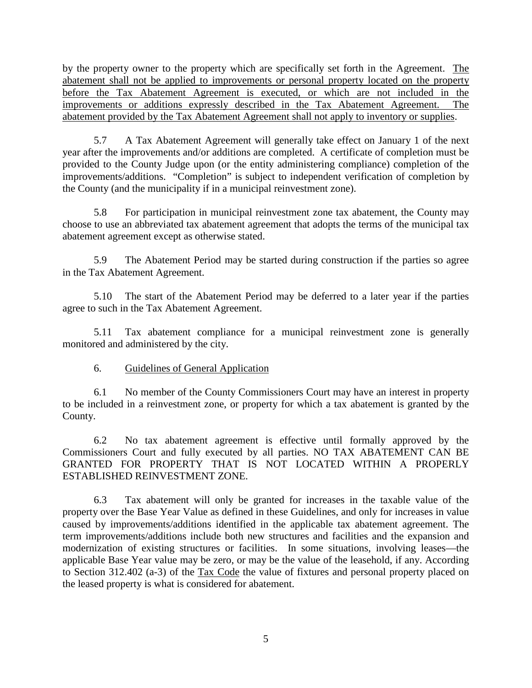by the property owner to the property which are specifically set forth in the Agreement. The abatement shall not be applied to improvements or personal property located on the property before the Tax Abatement Agreement is executed, or which are not included in the improvements or additions expressly described in the Tax Abatement Agreement. The abatement provided by the Tax Abatement Agreement shall not apply to inventory or supplies.

 5.7 A Tax Abatement Agreement will generally take effect on January 1 of the next year after the improvements and/or additions are completed. A certificate of completion must be provided to the County Judge upon (or the entity administering compliance) completion of the improvements/additions. "Completion" is subject to independent verification of completion by the County (and the municipality if in a municipal reinvestment zone).

 5.8 For participation in municipal reinvestment zone tax abatement, the County may choose to use an abbreviated tax abatement agreement that adopts the terms of the municipal tax abatement agreement except as otherwise stated.

 5.9 The Abatement Period may be started during construction if the parties so agree in the Tax Abatement Agreement.

 5.10 The start of the Abatement Period may be deferred to a later year if the parties agree to such in the Tax Abatement Agreement.

5.11 Tax abatement compliance for a municipal reinvestment zone is generally monitored and administered by the city.

# 6. Guidelines of General Application

 6.1 No member of the County Commissioners Court may have an interest in property to be included in a reinvestment zone, or property for which a tax abatement is granted by the County.

 6.2 No tax abatement agreement is effective until formally approved by the Commissioners Court and fully executed by all parties. NO TAX ABATEMENT CAN BE GRANTED FOR PROPERTY THAT IS NOT LOCATED WITHIN A PROPERLY ESTABLISHED REINVESTMENT ZONE.

 6.3 Tax abatement will only be granted for increases in the taxable value of the property over the Base Year Value as defined in these Guidelines, and only for increases in value caused by improvements/additions identified in the applicable tax abatement agreement. The term improvements/additions include both new structures and facilities and the expansion and modernization of existing structures or facilities. In some situations, involving leases—the applicable Base Year value may be zero, or may be the value of the leasehold, if any. According to Section 312.402 (a-3) of the Tax Code the value of fixtures and personal property placed on the leased property is what is considered for abatement.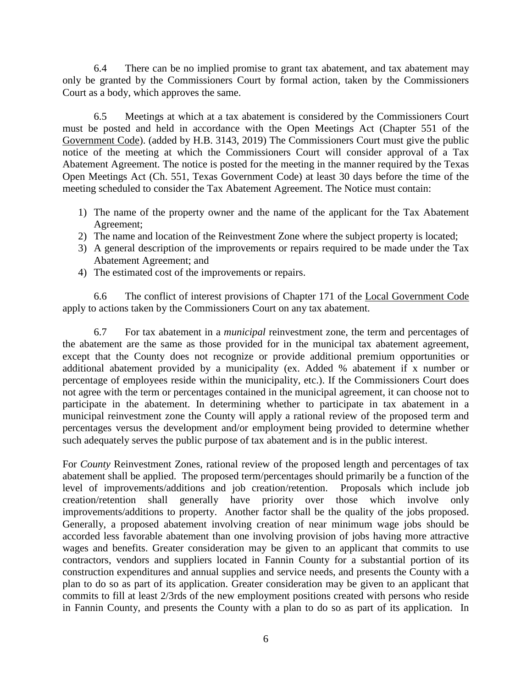6.4 There can be no implied promise to grant tax abatement, and tax abatement may only be granted by the Commissioners Court by formal action, taken by the Commissioners Court as a body, which approves the same.

 6.5 Meetings at which at a tax abatement is considered by the Commissioners Court must be posted and held in accordance with the Open Meetings Act (Chapter 551 of the Government Code). (added by H.B. 3143, 2019) The Commissioners Court must give the public notice of the meeting at which the Commissioners Court will consider approval of a Tax Abatement Agreement. The notice is posted for the meeting in the manner required by the Texas Open Meetings Act (Ch. 551, Texas Government Code) at least 30 days before the time of the meeting scheduled to consider the Tax Abatement Agreement. The Notice must contain:

- 1) The name of the property owner and the name of the applicant for the Tax Abatement Agreement;
- 2) The name and location of the Reinvestment Zone where the subject property is located;
- 3) A general description of the improvements or repairs required to be made under the Tax Abatement Agreement; and
- 4) The estimated cost of the improvements or repairs.

 6.6 The conflict of interest provisions of Chapter 171 of the Local Government Code apply to actions taken by the Commissioners Court on any tax abatement.

 6.7 For tax abatement in a *municipal* reinvestment zone, the term and percentages of the abatement are the same as those provided for in the municipal tax abatement agreement, except that the County does not recognize or provide additional premium opportunities or additional abatement provided by a municipality (ex. Added % abatement if x number or percentage of employees reside within the municipality, etc.). If the Commissioners Court does not agree with the term or percentages contained in the municipal agreement, it can choose not to participate in the abatement. In determining whether to participate in tax abatement in a municipal reinvestment zone the County will apply a rational review of the proposed term and percentages versus the development and/or employment being provided to determine whether such adequately serves the public purpose of tax abatement and is in the public interest.

For *County* Reinvestment Zones, rational review of the proposed length and percentages of tax abatement shall be applied. The proposed term/percentages should primarily be a function of the level of improvements/additions and job creation/retention. Proposals which include job creation/retention shall generally have priority over those which involve only improvements/additions to property. Another factor shall be the quality of the jobs proposed. Generally, a proposed abatement involving creation of near minimum wage jobs should be accorded less favorable abatement than one involving provision of jobs having more attractive wages and benefits. Greater consideration may be given to an applicant that commits to use contractors, vendors and suppliers located in Fannin County for a substantial portion of its construction expenditures and annual supplies and service needs, and presents the County with a plan to do so as part of its application. Greater consideration may be given to an applicant that commits to fill at least 2/3rds of the new employment positions created with persons who reside in Fannin County, and presents the County with a plan to do so as part of its application. In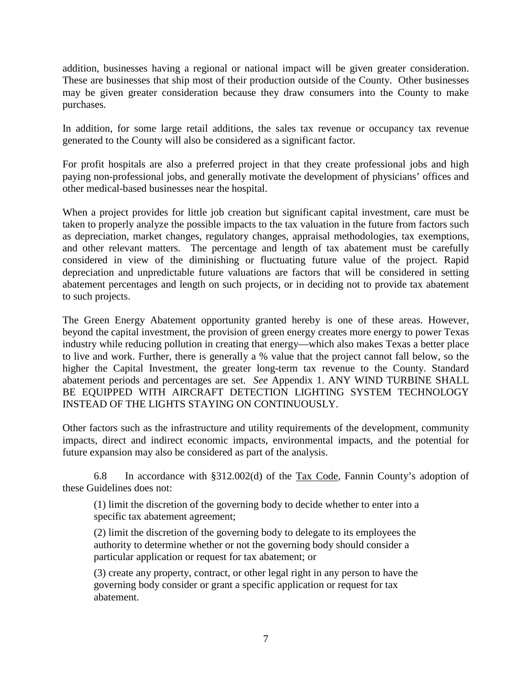addition, businesses having a regional or national impact will be given greater consideration. These are businesses that ship most of their production outside of the County. Other businesses may be given greater consideration because they draw consumers into the County to make purchases.

In addition, for some large retail additions, the sales tax revenue or occupancy tax revenue generated to the County will also be considered as a significant factor.

For profit hospitals are also a preferred project in that they create professional jobs and high paying non-professional jobs, and generally motivate the development of physicians' offices and other medical-based businesses near the hospital.

When a project provides for little job creation but significant capital investment, care must be taken to properly analyze the possible impacts to the tax valuation in the future from factors such as depreciation, market changes, regulatory changes, appraisal methodologies, tax exemptions, and other relevant matters. The percentage and length of tax abatement must be carefully considered in view of the diminishing or fluctuating future value of the project. Rapid depreciation and unpredictable future valuations are factors that will be considered in setting abatement percentages and length on such projects, or in deciding not to provide tax abatement to such projects.

The Green Energy Abatement opportunity granted hereby is one of these areas. However, beyond the capital investment, the provision of green energy creates more energy to power Texas industry while reducing pollution in creating that energy—which also makes Texas a better place to live and work. Further, there is generally a % value that the project cannot fall below, so the higher the Capital Investment, the greater long-term tax revenue to the County. Standard abatement periods and percentages are set. *See* Appendix 1. ANY WIND TURBINE SHALL BE EQUIPPED WITH AIRCRAFT DETECTION LIGHTING SYSTEM TECHNOLOGY INSTEAD OF THE LIGHTS STAYING ON CONTINUOUSLY.

Other factors such as the infrastructure and utility requirements of the development, community impacts, direct and indirect economic impacts, environmental impacts, and the potential for future expansion may also be considered as part of the analysis.

 6.8 In accordance with §312.002(d) of the Tax Code, Fannin County's adoption of these Guidelines does not:

(1) limit the discretion of the governing body to decide whether to enter into a specific tax abatement agreement;

(2) limit the discretion of the governing body to delegate to its employees the authority to determine whether or not the governing body should consider a particular application or request for tax abatement; or

(3) create any property, contract, or other legal right in any person to have the governing body consider or grant a specific application or request for tax abatement.